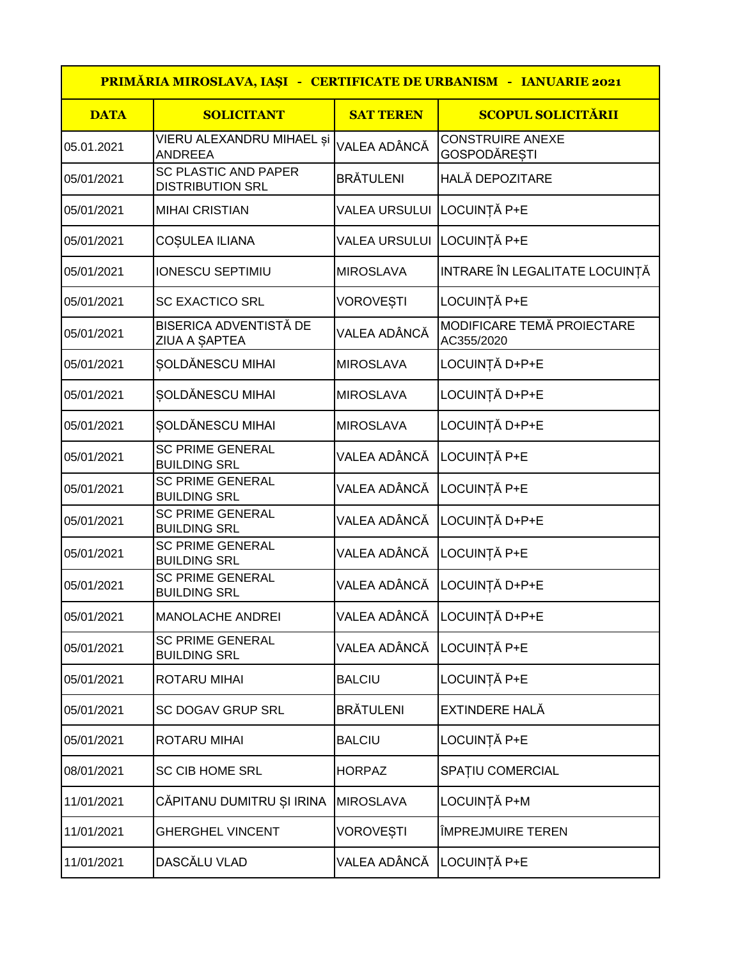| PRIMĂRIA MIROSLAVA, IAȘI - CERTIFICATE DE URBANISM - IANUARIE 2021 |                                                 |                            |                                                |
|--------------------------------------------------------------------|-------------------------------------------------|----------------------------|------------------------------------------------|
| <b>DATA</b>                                                        | <b>SOLICITANT</b>                               | <b>SAT TEREN</b>           | <b>SCOPUL SOLICITĂRII</b>                      |
| 05.01.2021                                                         | VIERU ALEXANDRU MIHAEL și<br>ANDREEA            | VALEA ADÂNCĂ               | <b>CONSTRUIRE ANEXE</b><br><b>GOSPODĂREȘTI</b> |
| 05/01/2021                                                         | SC PLASTIC AND PAPER<br><b>DISTRIBUTION SRL</b> | <b>BRÄTULENI</b>           | <b>HALĂ DEPOZITARE</b>                         |
| 05/01/2021                                                         | <b>MIHAI CRISTIAN</b>                           | VALEA URSULUI LOCUINȚĂ P+E |                                                |
| 05/01/2021                                                         | COȘULEA ILIANA                                  | <b>VALEA URSULUI</b>       | LOCUINȚĂ P+E                                   |
| 05/01/2021                                                         | <b>IONESCU SEPTIMIU</b>                         | <b>MIROSLAVA</b>           | INTRARE ÎN LEGALITATE LOCUINȚĂ                 |
| 05/01/2021                                                         | <b>SC EXACTICO SRL</b>                          | <b>VOROVEȘTI</b>           | LOCUINȚĂ P+E                                   |
| 05/01/2021                                                         | <b>BISERICA ADVENTISTĂ DE</b><br>ZIUA A ȘAPTEA  | VALEA ADÂNCĂ               | MODIFICARE TEMĂ PROIECTARE<br>AC355/2020       |
| 05/01/2021                                                         | SOLDĂNESCU MIHAI                                | <b>MIROSLAVA</b>           | LOCUINȚĂ D+P+E                                 |
| 05/01/2021                                                         | SOLDĂNESCU MIHAI                                | <b>MIROSLAVA</b>           | LOCUINȚĂ D+P+E                                 |
| 05/01/2021                                                         | ȘOLDĂNESCU MIHAI                                | <b>MIROSLAVA</b>           | LOCUINȚĂ D+P+E                                 |
| 05/01/2021                                                         | <b>SC PRIME GENERAL</b><br><b>BUILDING SRL</b>  | VALEA ADÂNCĂ               | LOCUINȚĂ P+E                                   |
| 05/01/2021                                                         | <b>SC PRIME GENERAL</b><br><b>BUILDING SRL</b>  | VALEA ADÂNCĂ               | LOCUINȚĂ P+E                                   |
| 05/01/2021                                                         | <b>SC PRIME GENERAL</b><br><b>BUILDING SRL</b>  | VALEA ADÂNCĂ               | LOCUINȚĂ D+P+E                                 |
| 05/01/2021                                                         | <b>SC PRIME GENERAL</b><br><b>BUILDING SRL</b>  | VALEA ADÂNCĂ               | LOCUINȚĂ P+E                                   |
| 05/01/2021                                                         | <b>SC PRIME GENERAL</b><br><b>BUILDING SRL</b>  | VALEA ADÂNCĂ               | LOCUINȚĂ D+P+E                                 |
| 05/01/2021                                                         | <b>MANOLACHE ANDREI</b>                         | VALEA ADÂNCĂ               | LOCUINȚĂ D+P+E                                 |
| 05/01/2021                                                         | <b>SC PRIME GENERAL</b><br><b>BUILDING SRL</b>  | VALEA ADÂNCĂ               | LOCUINȚĂ P+E                                   |
| 05/01/2021                                                         | ROTARU MIHAI                                    | <b>BALCIU</b>              | LOCUINȚĂ P+E                                   |
| 05/01/2021                                                         | SC DOGAV GRUP SRL                               | <b>BRĂTULENI</b>           | EXTINDERE HALĂ                                 |
| 05/01/2021                                                         | ROTARU MIHAI                                    | <b>BALCIU</b>              | LOCUINȚĂ P+E                                   |
| 08/01/2021                                                         | <b>SC CIB HOME SRL</b>                          | <b>HORPAZ</b>              | SPATIU COMERCIAL                               |
| 11/01/2021                                                         | CĂPITANU DUMITRU ȘI IRINA                       | <b>MIROSLAVA</b>           | LOCUINȚĂ P+M                                   |
| 11/01/2021                                                         | <b>GHERGHEL VINCENT</b>                         | VOROVEȘTI                  | <b>ÎMPREJMUIRE TEREN</b>                       |
| 11/01/2021                                                         | DASCĂLU VLAD                                    | VALEA ADÂNCĂ               | LOCUINȚĂ P+E                                   |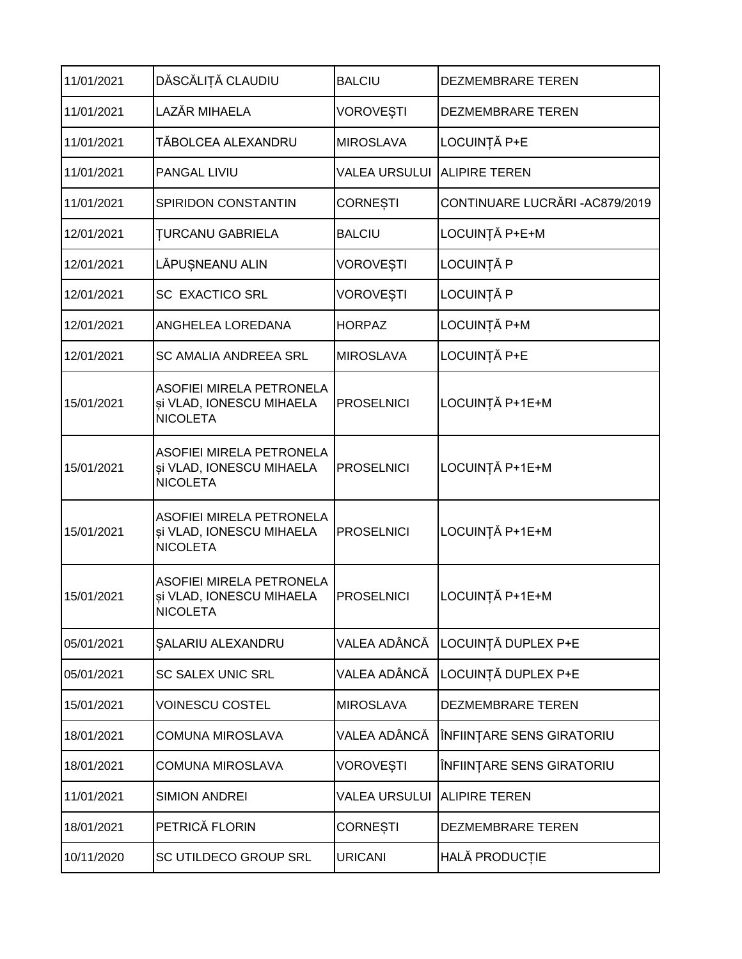| 11/01/2021 | DĂSCĂLIȚĂ CLAUDIU                                                              | <b>BALCIU</b>        | <b>DEZMEMBRARE TEREN</b>        |
|------------|--------------------------------------------------------------------------------|----------------------|---------------------------------|
| 11/01/2021 | LAZĂR MIHAELA                                                                  | <b>VOROVEȘTI</b>     | DEZMEMBRARE TEREN               |
| 11/01/2021 | TĂBOLCEA ALEXANDRU                                                             | <b>MIROSLAVA</b>     | LOCUINȚĂ P+E                    |
| 11/01/2021 | PANGAL LIVIU                                                                   | <b>VALEA URSULUI</b> | <b>ALIPIRE TEREN</b>            |
| 11/01/2021 | SPIRIDON CONSTANTIN                                                            | <b>CORNESTI</b>      | CONTINUARE LUCRĂRI - AC879/2019 |
| 12/01/2021 | <b>TURCANU GABRIELA</b>                                                        | <b>BALCIU</b>        | LOCUINȚĂ P+E+M                  |
| 12/01/2021 | LĂPUȘNEANU ALIN                                                                | <b>VOROVEȘTI</b>     | LOCUINȚĂ P                      |
| 12/01/2021 | <b>SC EXACTICO SRL</b>                                                         | <b>VOROVEȘTI</b>     | LOCUINȚĂ P                      |
| 12/01/2021 | ANGHELEA LOREDANA                                                              | <b>HORPAZ</b>        | LOCUINȚĂ P+M                    |
| 12/01/2021 | <b>SC AMALIA ANDREEA SRL</b>                                                   | <b>MIROSLAVA</b>     | LOCUINȚĂ P+E                    |
| 15/01/2021 | <b>ASOFIEI MIRELA PETRONELA</b><br>și VLAD, IONESCU MIHAELA<br><b>NICOLETA</b> | <b>PROSELNICI</b>    | LOCUINȚĂ P+1E+M                 |
| 15/01/2021 | ASOFIEI MIRELA PETRONELA<br>și VLAD, IONESCU MIHAELA<br><b>NICOLETA</b>        | <b>PROSELNICI</b>    | LOCUINȚĂ P+1E+M                 |
| 15/01/2021 | ASOFIEI MIRELA PETRONELA<br>și VLAD, IONESCU MIHAELA<br><b>NICOLETA</b>        | PROSELNICI           | LOCUINȚĂ P+1E+M                 |
| 15/01/2021 | ASOFIEI MIRELA PETRONELA<br>și VLAD, IONESCU MIHAELA<br>INICOLETA              | <b>PROSELNICI</b>    | LOCUINȚĂ P+1E+M                 |
| 05/01/2021 | SALARIU ALEXANDRU                                                              | VALEA ADÂNCĂ         | LOCUINȚĂ DUPLEX P+E             |
| 05/01/2021 | <b>SC SALEX UNIC SRL</b>                                                       | VALEA ADÂNCĂ         | LOCUINȚĂ DUPLEX P+E             |
| 15/01/2021 | <b>VOINESCU COSTEL</b>                                                         | <b>MIROSLAVA</b>     | DEZMEMBRARE TEREN               |
| 18/01/2021 | <b>COMUNA MIROSLAVA</b>                                                        | VALEA ADÂNCĂ         | ÎNFIINȚARE SENS GIRATORIU       |
| 18/01/2021 | <b>COMUNA MIROSLAVA</b>                                                        | <b>VOROVEȘTI</b>     | ÎNFIINȚARE SENS GIRATORIU       |
| 11/01/2021 | <b>SIMION ANDREI</b>                                                           | <b>VALEA URSULUI</b> | <b>ALIPIRE TEREN</b>            |
| 18/01/2021 | PETRICĂ FLORIN                                                                 | <b>CORNESTI</b>      | DEZMEMBRARE TEREN               |
| 10/11/2020 | SC UTILDECO GROUP SRL                                                          | <b>URICANI</b>       | HALĂ PRODUCȚIE                  |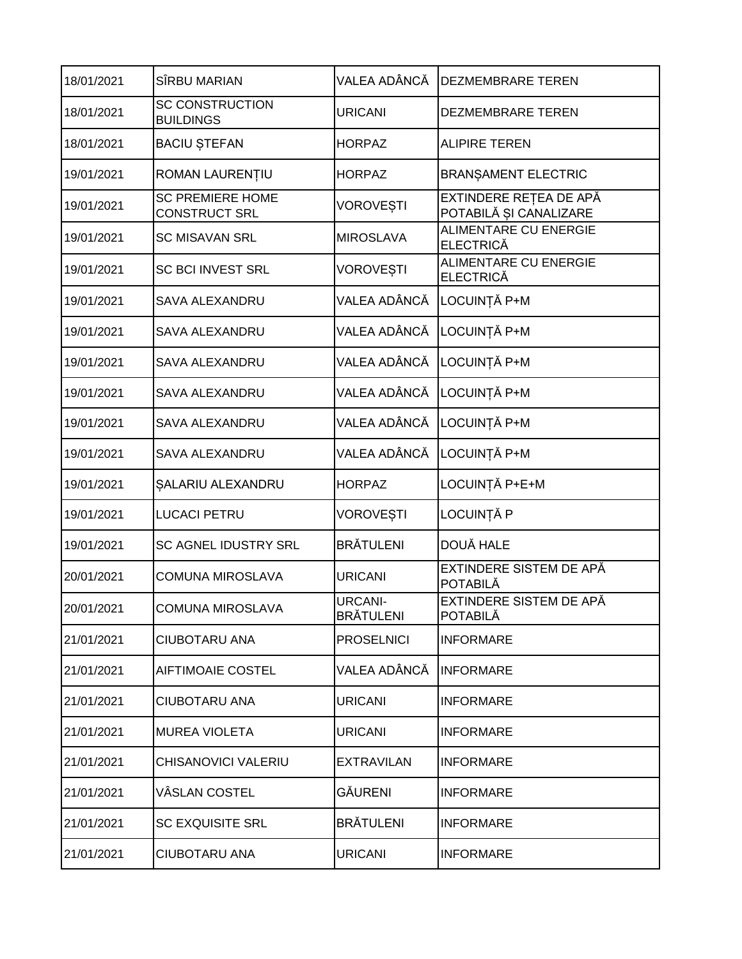| 18/01/2021 | SÎRBU MARIAN                                    | VALEA ADÂNCĂ                       | <b>DEZMEMBRARE TEREN</b>                         |
|------------|-------------------------------------------------|------------------------------------|--------------------------------------------------|
| 18/01/2021 | <b>SC CONSTRUCTION</b><br><b>BUILDINGS</b>      | <b>URICANI</b>                     | DEZMEMBRARE TEREN                                |
| 18/01/2021 | <b>BACIU ȘTEFAN</b>                             | <b>HORPAZ</b>                      | <b>ALIPIRE TEREN</b>                             |
| 19/01/2021 | ROMAN LAURENȚIU                                 | <b>HORPAZ</b>                      | <b>BRANSAMENT ELECTRIC</b>                       |
| 19/01/2021 | <b>SC PREMIERE HOME</b><br><b>CONSTRUCT SRL</b> | <b>VOROVESTI</b>                   | EXTINDERE REȚEA DE APĂ<br>POTABILĂ ȘI CANALIZARE |
| 19/01/2021 | <b>SC MISAVAN SRL</b>                           | <b>MIROSLAVA</b>                   | <b>ALIMENTARE CU ENERGIE</b><br><b>ELECTRICĂ</b> |
| 19/01/2021 | <b>SC BCI INVEST SRL</b>                        | <b>VOROVEȘTI</b>                   | <b>ALIMENTARE CU ENERGIE</b><br><b>ELECTRICĂ</b> |
| 19/01/2021 | <b>SAVA ALEXANDRU</b>                           | VALEA ADÂNCĂ                       | LOCUINȚĂ P+M                                     |
| 19/01/2021 | <b>SAVA ALEXANDRU</b>                           | VALEA ADÂNCĂ                       | LOCUINȚĂ P+M                                     |
| 19/01/2021 | <b>SAVA ALEXANDRU</b>                           | VALEA ADÂNCĂ                       | LOCUINȚĂ P+M                                     |
| 19/01/2021 | <b>SAVA ALEXANDRU</b>                           | VALEA ADÂNCĂ                       | LOCUINȚĂ P+M                                     |
| 19/01/2021 | <b>SAVA ALEXANDRU</b>                           | VALEA ADÂNCĂ                       | LOCUINȚĂ P+M                                     |
| 19/01/2021 | <b>SAVA ALEXANDRU</b>                           | VALEA ADÂNCĂ                       | LOCUINȚĂ P+M                                     |
| 19/01/2021 | SALARIU ALEXANDRU                               | <b>HORPAZ</b>                      | LOCUINȚĂ P+E+M                                   |
| 19/01/2021 | <b>LUCACI PETRU</b>                             | <b>VOROVEȘTI</b>                   | LOCUINȚĂ P                                       |
| 19/01/2021 | SC AGNEL IDUSTRY SRL                            | <b>BRÄTULENI</b>                   | DOUĂ HALE                                        |
| 20/01/2021 | <b>COMUNA MIROSLAVA</b>                         | <b>URICANI</b>                     | EXTINDERE SISTEM DE APĂ<br><b>POTABILĂ</b>       |
| 20/01/2021 | COMUNA MIROSLAVA                                | <b>URCANI-</b><br><b>BRÄTULENI</b> | EXTINDERE SISTEM DE APĂ<br><b>POTABILĂ</b>       |
| 21/01/2021 | CIUBOTARU ANA                                   | <b>PROSELNICI</b>                  | <b>INFORMARE</b>                                 |
| 21/01/2021 | AIFTIMOAIE COSTEL                               | VALEA ADÂNCĂ                       | <b>INFORMARE</b>                                 |
| 21/01/2021 | CIUBOTARU ANA                                   | <b>URICANI</b>                     | <b>INFORMARE</b>                                 |
| 21/01/2021 | <b>MUREA VIOLETA</b>                            | <b>URICANI</b>                     | <b>INFORMARE</b>                                 |
| 21/01/2021 | CHISANOVICI VALERIU                             | <b>EXTRAVILAN</b>                  | <b>INFORMARE</b>                                 |
| 21/01/2021 | VÂSLAN COSTEL                                   | GĂURENI                            | <b>INFORMARE</b>                                 |
| 21/01/2021 | SC EXQUISITE SRL                                | <b>BRÄTULENI</b>                   | <b>INFORMARE</b>                                 |
| 21/01/2021 | CIUBOTARU ANA                                   | <b>URICANI</b>                     | <b>INFORMARE</b>                                 |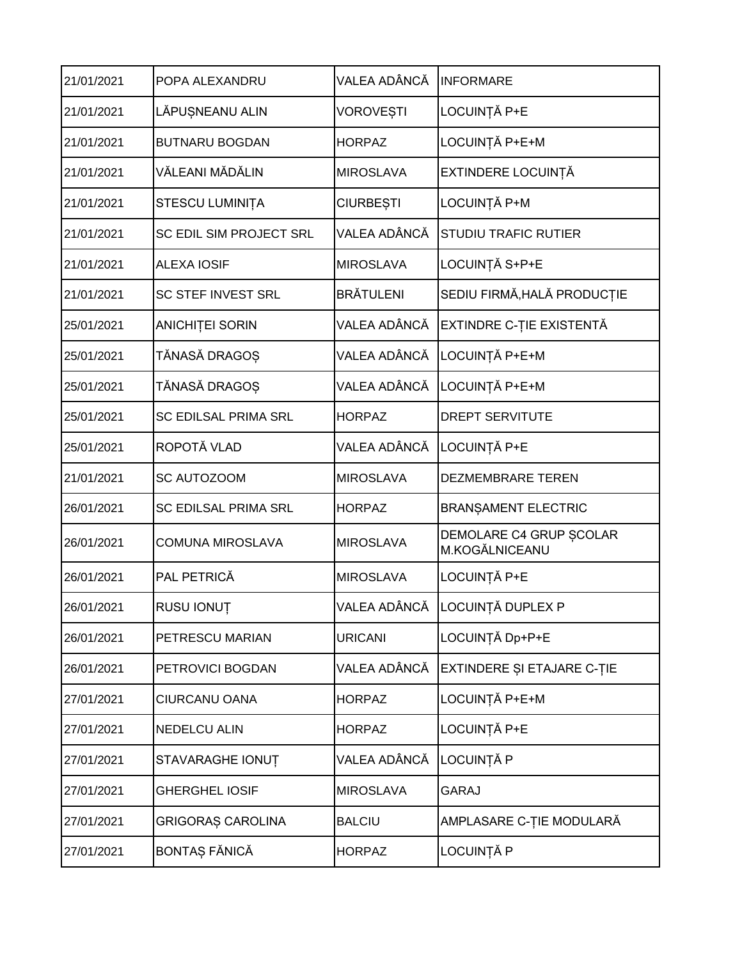| 21/01/2021 | POPA ALEXANDRU              | VALEA ADÂNCĂ     | <b>INFORMARE</b>                          |
|------------|-----------------------------|------------------|-------------------------------------------|
| 21/01/2021 | LĂPUȘNEANU ALIN             | VOROVEȘTI        | LOCUINȚĂ P+E                              |
| 21/01/2021 | <b>BUTNARU BOGDAN</b>       | <b>HORPAZ</b>    | LOCUINȚĂ P+E+M                            |
| 21/01/2021 | VĂLEANI MĂDĂLIN             | <b>MIROSLAVA</b> | EXTINDERE LOCUINȚĂ                        |
| 21/01/2021 | STESCU LUMINIȚA             | <b>CIURBEȘTI</b> | LOCUINȚĂ P+M                              |
| 21/01/2021 | SC EDIL SIM PROJECT SRL     | VALEA ADÂNCĂ     | <b>STUDIU TRAFIC RUTIER</b>               |
| 21/01/2021 | <b>ALEXA IOSIF</b>          | <b>MIROSLAVA</b> | LOCUINȚĂ S+P+E                            |
| 21/01/2021 | <b>SC STEF INVEST SRL</b>   | <b>BRĂTULENI</b> | SEDIU FIRMĂ, HALĂ PRODUCȚIE               |
| 25/01/2021 | <b>ANICHITEI SORIN</b>      | VALEA ADÂNCĂ     | EXTINDRE C-ȚIE EXISTENTĂ                  |
| 25/01/2021 | TĂNASĂ DRAGOS               | VALEA ADÂNCĂ     | LOCUINȚĂ P+E+M                            |
| 25/01/2021 | TĂNASĂ DRAGOȘ               | VALEA ADÂNCĂ     | LOCUINȚĂ P+E+M                            |
| 25/01/2021 | <b>SC EDILSAL PRIMA SRL</b> | <b>HORPAZ</b>    | <b>DREPT SERVITUTE</b>                    |
| 25/01/2021 | ROPOTĂ VLAD                 | VALEA ADÂNCĂ     | LOCUINȚĂ P+E                              |
| 21/01/2021 | SC AUTOZOOM                 | <b>MIROSLAVA</b> | <b>DEZMEMBRARE TEREN</b>                  |
| 26/01/2021 | <b>SC EDILSAL PRIMA SRL</b> | <b>HORPAZ</b>    | <b>BRANSAMENT ELECTRIC</b>                |
| 26/01/2021 | <b>COMUNA MIROSLAVA</b>     | <b>MIROSLAVA</b> | DEMOLARE C4 GRUP SCOLAR<br>M.KOGĂLNICEANU |
| 26/01/2021 | PAL PETRICĂ                 |                  |                                           |
|            |                             | <b>MIROSLAVA</b> | LOCUINȚĂ P+E                              |
| 26/01/2021 | RUSU IONUȚ                  |                  | VALEA ADÂNCĂ    LOCUINȚĂ DUPLEX P         |
| 26/01/2021 | PETRESCU MARIAN             | <b>URICANI</b>   | LOCUINȚĂ Dp+P+E                           |
| 26/01/2021 | PETROVICI BOGDAN            | VALEA ADÂNCĂ     | EXTINDERE ȘI ETAJARE C-ȚIE                |
| 27/01/2021 | CIURCANU OANA               | <b>HORPAZ</b>    | LOCUINȚĂ P+E+M                            |
| 27/01/2021 | <b>NEDELCU ALIN</b>         | <b>HORPAZ</b>    | LOCUINȚĂ P+E                              |
| 27/01/2021 | STAVARAGHE IONUȚ            | VALEA ADÂNCĂ     | LOCUINȚĂ P                                |
| 27/01/2021 | <b>GHERGHEL IOSIF</b>       | <b>MIROSLAVA</b> | <b>GARAJ</b>                              |
| 27/01/2021 | <b>GRIGORAS CAROLINA</b>    | <b>BALCIU</b>    | AMPLASARE C-ȚIE MODULARĂ                  |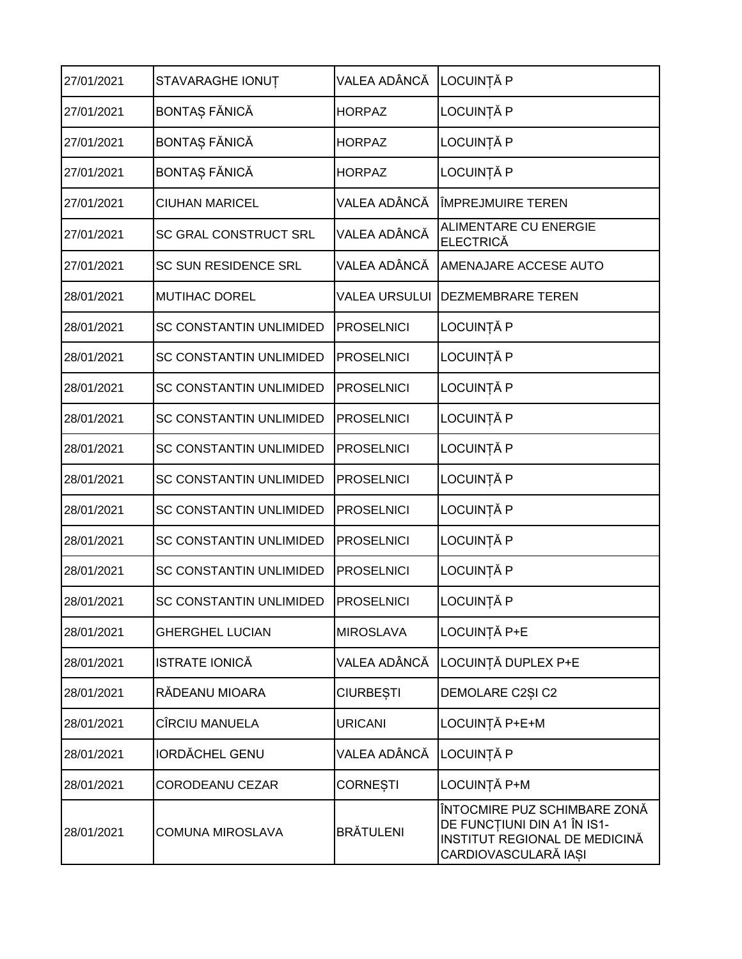| 27/01/2021 | STAVARAGHE IONUȚ               | VALEA ADÂNCĂ         | LOCUINȚĂ P                                                                                                           |
|------------|--------------------------------|----------------------|----------------------------------------------------------------------------------------------------------------------|
| 27/01/2021 | BONTAȘ FĂNICĂ                  | <b>HORPAZ</b>        | LOCUINȚĂ P                                                                                                           |
| 27/01/2021 | BONTAȘ FĂNICĂ                  | <b>HORPAZ</b>        | LOCUINȚĂ P                                                                                                           |
| 27/01/2021 | BONTAȘ FĂNICĂ                  | <b>HORPAZ</b>        | LOCUINȚĂ P                                                                                                           |
| 27/01/2021 | <b>CIUHAN MARICEL</b>          | VALEA ADÂNCĂ         | <b>IMPREJMUIRE TEREN</b>                                                                                             |
| 27/01/2021 | <b>SC GRAL CONSTRUCT SRL</b>   | VALEA ADÂNCĂ         | <b>ALIMENTARE CU ENERGIE</b><br><b>ELECTRICĂ</b>                                                                     |
| 27/01/2021 | <b>SC SUN RESIDENCE SRL</b>    | VALEA ADÂNCĂ         | AMENAJARE ACCESE AUTO                                                                                                |
| 28/01/2021 | <b>MUTIHAC DOREL</b>           | <b>VALEA URSULUI</b> | <b>DEZMEMBRARE TEREN</b>                                                                                             |
| 28/01/2021 | <b>SC CONSTANTIN UNLIMIDED</b> | <b>PROSELNICI</b>    | LOCUINȚĂ P                                                                                                           |
| 28/01/2021 | SC CONSTANTIN UNLIMIDED        | <b>PROSELNICI</b>    | LOCUINȚĂ P                                                                                                           |
| 28/01/2021 | <b>SC CONSTANTIN UNLIMIDED</b> | <b>PROSELNICI</b>    | LOCUINȚĂ P                                                                                                           |
| 28/01/2021 | <b>SC CONSTANTIN UNLIMIDED</b> | <b>PROSELNICI</b>    | LOCUINȚĂ P                                                                                                           |
| 28/01/2021 | <b>SC CONSTANTIN UNLIMIDED</b> | <b>PROSELNICI</b>    | LOCUINȚĂ P                                                                                                           |
| 28/01/2021 | <b>SC CONSTANTIN UNLIMIDED</b> | <b>PROSELNICI</b>    | LOCUINȚĂ P                                                                                                           |
| 28/01/2021 | <b>SC CONSTANTIN UNLIMIDED</b> | <b>PROSELNICI</b>    | LOCUINȚĂ P                                                                                                           |
| 28/01/2021 | <b>SC CONSTANTIN UNLIMIDED</b> | <b>PROSELNICI</b>    | LOCUINȚĂ P                                                                                                           |
| 28/01/2021 | <b>SC CONSTANTIN UNLIMIDED</b> | <b>PROSELNICI</b>    | LOCUINȚĂ P                                                                                                           |
| 28/01/2021 | SC CONSTANTIN UNLIMIDED        | <b>PROSELNICI</b>    | LOCUINTĂ P                                                                                                           |
| 28/01/2021 | <b>GHERGHEL LUCIAN</b>         | <b>MIROSLAVA</b>     | LOCUINȚĂ P+E                                                                                                         |
| 28/01/2021 | ISTRATE IONICĂ                 | VALEA ADÂNCĂ         | LOCUINȚĂ DUPLEX P+E                                                                                                  |
| 28/01/2021 | RĂDEANU MIOARA                 | <b>CIURBEȘTI</b>     | DEMOLARE C2ȘI C2                                                                                                     |
| 28/01/2021 | CÎRCIU MANUELA                 | <b>URICANI</b>       | LOCUINȚĂ P+E+M                                                                                                       |
| 28/01/2021 | <b>IORDĂCHEL GENU</b>          | VALEA ADÂNCĂ         | LOCUINȚĂ P                                                                                                           |
| 28/01/2021 | <b>CORODEANU CEZAR</b>         | <b>CORNESTI</b>      | LOCUINȚĂ P+M                                                                                                         |
| 28/01/2021 | COMUNA MIROSLAVA               | <b>BRÄTULENI</b>     | ÎNTOCMIRE PUZ SCHIMBARE ZONĂ<br>DE FUNCȚIUNI DIN A1 ÎN IS1-<br>INSTITUT REGIONAL DE MEDICINĂ<br>CARDIOVASCULARĂ IAȘI |